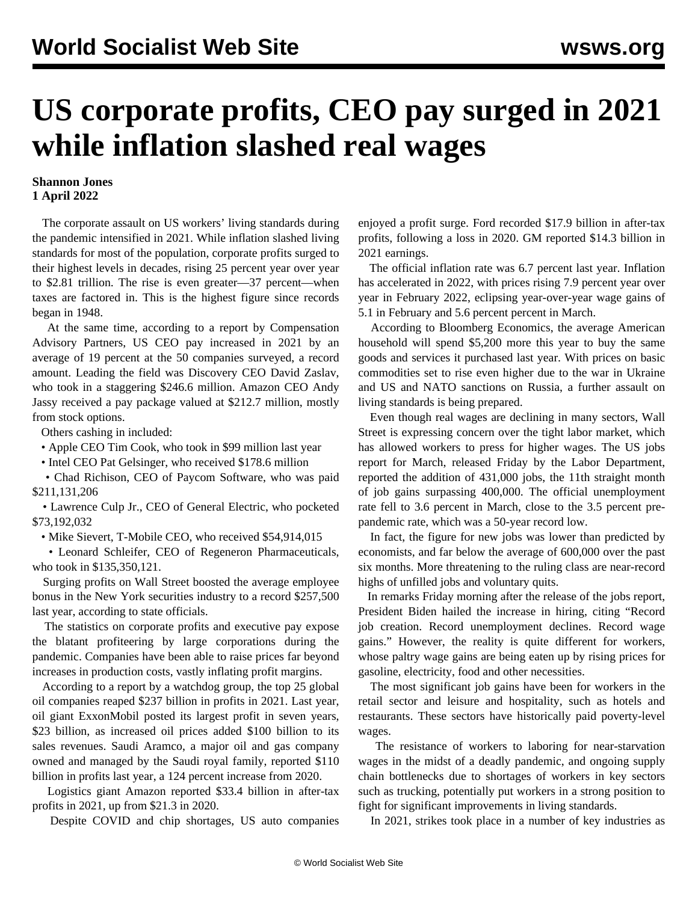## **US corporate profits, CEO pay surged in 2021 while inflation slashed real wages**

## **Shannon Jones 1 April 2022**

 The corporate assault on US workers' living standards during the pandemic intensified in 2021. While inflation slashed living standards for most of the population, corporate profits surged to their highest levels in decades, rising 25 percent year over year to \$2.81 trillion. The rise is even greater—37 percent—when taxes are factored in. This is the highest figure since records began in 1948.

 At the same time, according to a report by Compensation Advisory Partners, US CEO pay increased in 2021 by an average of 19 percent at the 50 companies surveyed, a record amount. Leading the field was Discovery CEO David Zaslav, who took in a staggering \$246.6 million. Amazon CEO Andy Jassy received a pay package valued at \$212.7 million, mostly from stock options.

Others cashing in included:

• Apple CEO Tim Cook, who took in \$99 million last year

• Intel CEO Pat Gelsinger, who received \$178.6 million

 • Chad Richison, CEO of Paycom Software, who was paid \$211,131,206

 • Lawrence Culp Jr., CEO of General Electric, who pocketed \$73,192,032

• Mike Sievert, T-Mobile CEO, who received \$54,914,015

 • Leonard Schleifer, CEO of Regeneron Pharmaceuticals, who took in \$135,350,121.

 Surging profits on Wall Street boosted the average employee bonus in the New York securities industry to a record \$257,500 last year, according to state officials.

 The statistics on corporate profits and executive pay expose the blatant profiteering by large corporations during the pandemic. Companies have been able to raise prices far beyond increases in production costs, vastly inflating profit margins.

 According to a report by a watchdog group, the top 25 global oil companies reaped \$237 billion in profits in 2021. Last year, oil giant ExxonMobil posted its largest profit in seven years, \$23 billion, as increased oil prices added \$100 billion to its sales revenues. Saudi Aramco, a major oil and gas company owned and managed by the Saudi royal family, reported \$110 billion in profits last year, a 124 percent increase from 2020.

 Logistics giant Amazon reported \$33.4 billion in after-tax profits in 2021, up from \$21.3 in 2020.

Despite COVID and chip shortages, US auto companies

enjoyed a profit surge. Ford recorded \$17.9 billion in after-tax profits, following a loss in 2020. GM reported \$14.3 billion in 2021 earnings.

 The official inflation rate was 6.7 percent last year. Inflation has accelerated in 2022, with prices rising 7.9 percent year over year in February 2022, eclipsing year-over-year wage gains of 5.1 in February and 5.6 percent percent in March.

 According to Bloomberg Economics, the average American household will spend \$5,200 more this year to buy the same goods and services it purchased last year. With prices on basic commodities set to rise even higher due to the war in Ukraine and US and NATO sanctions on Russia, a further assault on living standards is being prepared.

 Even though real wages are declining in many sectors, Wall Street is expressing concern over the tight labor market, which has allowed workers to press for higher wages. The US jobs report for March, released Friday by the Labor Department, reported the addition of 431,000 jobs, the 11th straight month of job gains surpassing 400,000. The official unemployment rate fell to 3.6 percent in March, close to the 3.5 percent prepandemic rate, which was a 50-year record low.

 In fact, the figure for new jobs was lower than predicted by economists, and far below the average of 600,000 over the past six months. More threatening to the ruling class are near-record highs of unfilled jobs and voluntary quits.

 In remarks Friday morning after the release of the jobs report, President Biden hailed the increase in hiring, citing "Record job creation. Record unemployment declines. Record wage gains." However, the reality is quite different for workers, whose paltry wage gains are being eaten up by rising prices for gasoline, electricity, food and other necessities.

 The most significant job gains have been for workers in the retail sector and leisure and hospitality, such as hotels and restaurants. These sectors have historically paid poverty-level wages.

 The resistance of workers to laboring for near-starvation wages in the midst of a deadly pandemic, and ongoing supply chain bottlenecks due to shortages of workers in key sectors such as trucking, potentially put workers in a strong position to fight for significant improvements in living standards.

In 2021, strikes took place in a number of key industries as